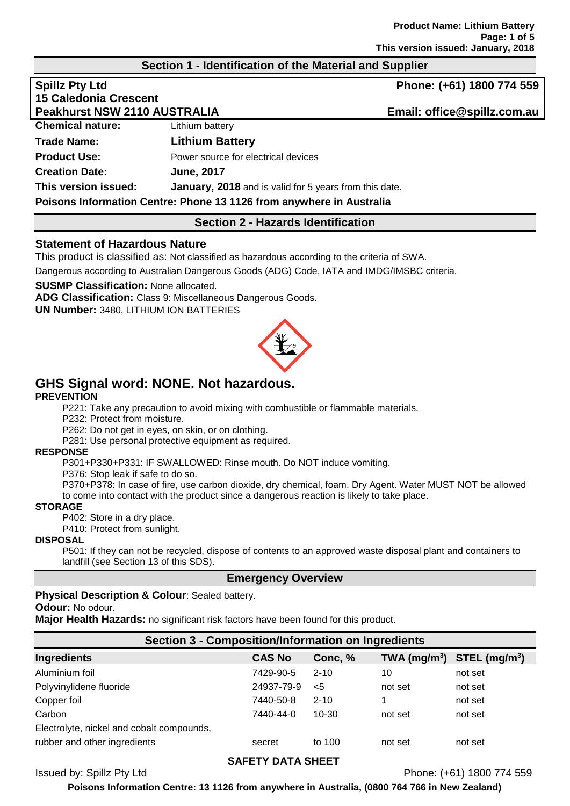## **Section 1 - Identification of the Material and Supplier**

|                                                                      | Phone: (+61) 1800 774 559   |  |
|----------------------------------------------------------------------|-----------------------------|--|
|                                                                      |                             |  |
| <b>Peakhurst NSW 2110 AUSTRALIA</b>                                  | Email: office@spillz.com.au |  |
| Lithium battery                                                      |                             |  |
| <b>Lithium Battery</b>                                               |                             |  |
| Power source for electrical devices                                  |                             |  |
| <b>June, 2017</b>                                                    |                             |  |
| January, 2018 and is valid for 5 years from this date.               |                             |  |
| Poisons Information Centre: Phone 13 1126 from anywhere in Australia |                             |  |
|                                                                      |                             |  |

## **Section 2 - Hazards Identification**

## **Statement of Hazardous Nature**

This product is classified as: Not classified as hazardous according to the criteria of SWA.

Dangerous according to Australian Dangerous Goods (ADG) Code, IATA and IMDG/IMSBC criteria.

**SUSMP Classification:** None allocated.

**ADG Classification:** Class 9: Miscellaneous Dangerous Goods.

**UN Number:** 3480, LITHIUM ION BATTERIES



# **GHS Signal word: NONE. Not hazardous.**

#### **PREVENTION**

P221: Take any precaution to avoid mixing with combustible or flammable materials.

P232: Protect from moisture.

P262: Do not get in eyes, on skin, or on clothing.

P281: Use personal protective equipment as required.

#### **RESPONSE**

P301+P330+P331: IF SWALLOWED: Rinse mouth. Do NOT induce vomiting.

P376: Stop leak if safe to do so.

P370+P378: In case of fire, use carbon dioxide, dry chemical, foam. Dry Agent. Water MUST NOT be allowed to come into contact with the product since a dangerous reaction is likely to take place.

#### **STORAGE**

P402: Store in a dry place.

P410: Protect from sunlight.

#### **DISPOSAL**

P501: If they can not be recycled, dispose of contents to an approved waste disposal plant and containers to landfill (see Section 13 of this SDS).

## **Emergency Overview**

#### **Physical Description & Colour**: Sealed battery.

**Odour:** No odour.

**Major Health Hazards:** no significant risk factors have been found for this product.

## **Section 3 - Composition/Information on Ingredients**

| Ingredients                               | <b>CAS No</b> | Conc, %   | $TWA$ (mg/m <sup>3</sup> ) | $STEL$ (mg/m <sup>3</sup> ) |
|-------------------------------------------|---------------|-----------|----------------------------|-----------------------------|
| Aluminium foil                            | 7429-90-5     | $2 - 10$  | 10                         | not set                     |
| Polyvinylidene fluoride                   | 24937-79-9    | <5        | not set                    | not set                     |
| Copper foil                               | 7440-50-8     | $2 - 10$  |                            | not set                     |
| Carbon                                    | 7440-44-0     | $10 - 30$ | not set                    | not set                     |
| Electrolyte, nickel and cobalt compounds, |               |           |                            |                             |
| rubber and other ingredients              | secret        | to 100    | not set                    | not set                     |
|                                           |               |           |                            |                             |

## **SAFETY DATA SHEET**

Issued by: Spillz Pty Ltd Phone: (+61) 1800 774 559

**Poisons Information Centre: 13 1126 from anywhere in Australia, (0800 764 766 in New Zealand)**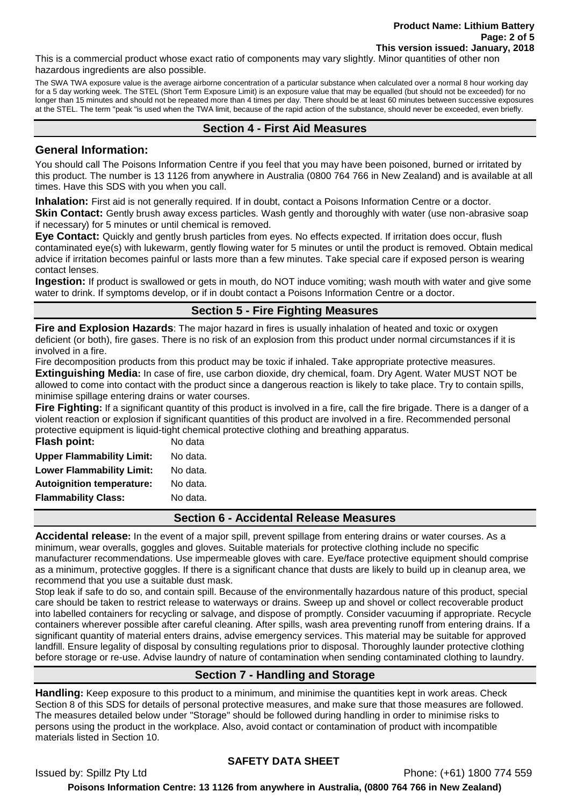This is a commercial product whose exact ratio of components may vary slightly. Minor quantities of other non hazardous ingredients are also possible.

The SWA TWA exposure value is the average airborne concentration of a particular substance when calculated over a normal 8 hour working day for a 5 day working week. The STEL (Short Term Exposure Limit) is an exposure value that may be equalled (but should not be exceeded) for no longer than 15 minutes and should not be repeated more than 4 times per day. There should be at least 60 minutes between successive exposures at the STEL. The term "peak "is used when the TWA limit, because of the rapid action of the substance, should never be exceeded, even briefly.

# **Section 4 - First Aid Measures**

## **General Information:**

You should call The Poisons Information Centre if you feel that you may have been poisoned, burned or irritated by this product. The number is 13 1126 from anywhere in Australia (0800 764 766 in New Zealand) and is available at all times. Have this SDS with you when you call.

**Inhalation:** First aid is not generally required. If in doubt, contact a Poisons Information Centre or a doctor.

**Skin Contact:** Gently brush away excess particles. Wash gently and thoroughly with water (use non-abrasive soap if necessary) for 5 minutes or until chemical is removed.

**Eye Contact:** Quickly and gently brush particles from eyes. No effects expected. If irritation does occur, flush contaminated eye(s) with lukewarm, gently flowing water for 5 minutes or until the product is removed. Obtain medical advice if irritation becomes painful or lasts more than a few minutes. Take special care if exposed person is wearing contact lenses.

**Ingestion:** If product is swallowed or gets in mouth, do NOT induce vomiting; wash mouth with water and give some water to drink. If symptoms develop, or if in doubt contact a Poisons Information Centre or a doctor.

# **Section 5 - Fire Fighting Measures**

**Fire and Explosion Hazards**: The major hazard in fires is usually inhalation of heated and toxic or oxygen deficient (or both), fire gases. There is no risk of an explosion from this product under normal circumstances if it is involved in a fire.

Fire decomposition products from this product may be toxic if inhaled. Take appropriate protective measures.

**Extinguishing Media:** In case of fire, use carbon dioxide, dry chemical, foam. Dry Agent. Water MUST NOT be allowed to come into contact with the product since a dangerous reaction is likely to take place. Try to contain spills, minimise spillage entering drains or water courses.

**Fire Fighting:** If a significant quantity of this product is involved in a fire, call the fire brigade. There is a danger of a violent reaction or explosion if significant quantities of this product are involved in a fire. Recommended personal protective equipment is liquid-tight chemical protective clothing and breathing apparatus.

| Flash point:                     | No data  |
|----------------------------------|----------|
| <b>Upper Flammability Limit:</b> | No data. |
| <b>Lower Flammability Limit:</b> | No data. |
| <b>Autoignition temperature:</b> | No data. |
| <b>Flammability Class:</b>       | No data. |
|                                  |          |

**Section 6 - Accidental Release Measures**

**Accidental release:** In the event of a major spill, prevent spillage from entering drains or water courses. As a minimum, wear overalls, goggles and gloves. Suitable materials for protective clothing include no specific manufacturer recommendations. Use impermeable gloves with care. Eye/face protective equipment should comprise as a minimum, protective goggles. If there is a significant chance that dusts are likely to build up in cleanup area, we recommend that you use a suitable dust mask.

Stop leak if safe to do so, and contain spill. Because of the environmentally hazardous nature of this product, special care should be taken to restrict release to waterways or drains. Sweep up and shovel or collect recoverable product into labelled containers for recycling or salvage, and dispose of promptly. Consider vacuuming if appropriate. Recycle containers wherever possible after careful cleaning. After spills, wash area preventing runoff from entering drains. If a significant quantity of material enters drains, advise emergency services. This material may be suitable for approved landfill. Ensure legality of disposal by consulting regulations prior to disposal. Thoroughly launder protective clothing before storage or re-use. Advise laundry of nature of contamination when sending contaminated clothing to laundry.

# **Section 7 - Handling and Storage**

**Handling:** Keep exposure to this product to a minimum, and minimise the quantities kept in work areas. Check Section 8 of this SDS for details of personal protective measures, and make sure that those measures are followed. The measures detailed below under "Storage" should be followed during handling in order to minimise risks to persons using the product in the workplace. Also, avoid contact or contamination of product with incompatible materials listed in Section 10.

# **SAFETY DATA SHEET**

Issued by: Spillz Pty Ltd Phone: (+61) 1800 774 559 **Poisons Information Centre: 13 1126 from anywhere in Australia, (0800 764 766 in New Zealand)**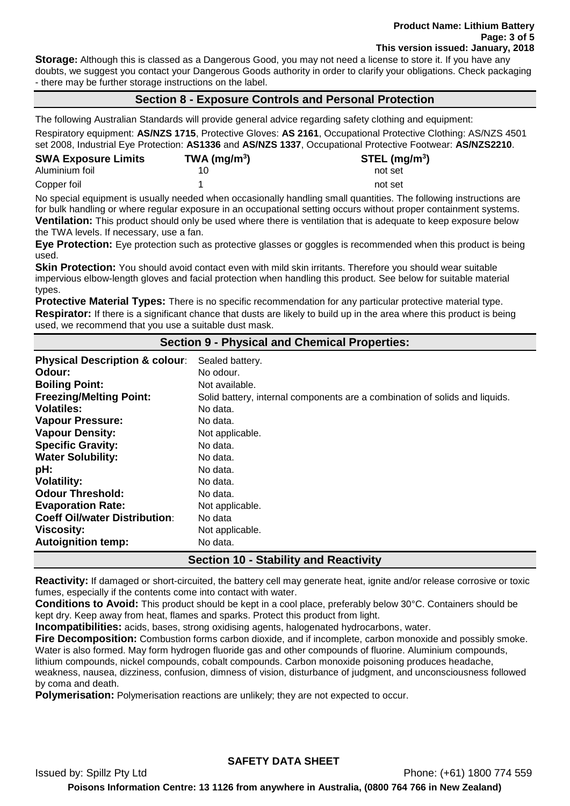**Storage:** Although this is classed as a Dangerous Good, you may not need a license to store it. If you have any doubts, we suggest you contact your Dangerous Goods authority in order to clarify your obligations. Check packaging - there may be further storage instructions on the label.

# **Section 8 - Exposure Controls and Personal Protection**

The following Australian Standards will provide general advice regarding safety clothing and equipment:

Respiratory equipment: **AS/NZS 1715**, Protective Gloves: **AS 2161**, Occupational Protective Clothing: AS/NZS 4501 set 2008, Industrial Eye Protection: **AS1336** and **AS/NZS 1337**, Occupational Protective Footwear: **AS/NZS2210**.

| <b>SWA Exposure Limits</b> | TWA (mg/m $3$ ) | $STEL$ (mg/m <sup>3</sup> ) |
|----------------------------|-----------------|-----------------------------|
| Aluminium foil             |                 | not set                     |
| Copper foil                |                 | not set                     |

No special equipment is usually needed when occasionally handling small quantities. The following instructions are for bulk handling or where regular exposure in an occupational setting occurs without proper containment systems. **Ventilation:** This product should only be used where there is ventilation that is adequate to keep exposure below the TWA levels. If necessary, use a fan.

**Eye Protection:** Eye protection such as protective glasses or goggles is recommended when this product is being used.

**Skin Protection:** You should avoid contact even with mild skin irritants. Therefore you should wear suitable impervious elbow-length gloves and facial protection when handling this product. See below for suitable material types.

**Protective Material Types:** There is no specific recommendation for any particular protective material type. **Respirator:** If there is a significant chance that dusts are likely to build up in the area where this product is being used, we recommend that you use a suitable dust mask.

## **Section 9 - Physical and Chemical Properties:**

| <b>Physical Description &amp; colour:</b>    | Sealed battery.                                                             |  |
|----------------------------------------------|-----------------------------------------------------------------------------|--|
| Odour:                                       | No odour.                                                                   |  |
| <b>Boiling Point:</b>                        | Not available.                                                              |  |
| <b>Freezing/Melting Point:</b>               | Solid battery, internal components are a combination of solids and liquids. |  |
| <b>Volatiles:</b>                            | No data.                                                                    |  |
| <b>Vapour Pressure:</b>                      | No data.                                                                    |  |
| <b>Vapour Density:</b>                       | Not applicable.                                                             |  |
| <b>Specific Gravity:</b>                     | No data.                                                                    |  |
| <b>Water Solubility:</b>                     | No data.                                                                    |  |
| pH:                                          | No data.                                                                    |  |
| <b>Volatility:</b>                           | No data.                                                                    |  |
| <b>Odour Threshold:</b>                      | No data.                                                                    |  |
| <b>Evaporation Rate:</b>                     | Not applicable.                                                             |  |
| <b>Coeff Oil/water Distribution:</b>         | No data                                                                     |  |
| <b>Viscosity:</b>                            | Not applicable.                                                             |  |
| <b>Autoignition temp:</b>                    | No data.                                                                    |  |
| <b>Section 10 - Stability and Reactivity</b> |                                                                             |  |

**Reactivity:** If damaged or short-circuited, the battery cell may generate heat, ignite and/or release corrosive or toxic fumes, especially if the contents come into contact with water.

**Conditions to Avoid:** This product should be kept in a cool place, preferably below 30°C. Containers should be kept dry. Keep away from heat, flames and sparks. Protect this product from light.

**Incompatibilities:** acids, bases, strong oxidising agents, halogenated hydrocarbons, water.

**Fire Decomposition:** Combustion forms carbon dioxide, and if incomplete, carbon monoxide and possibly smoke. Water is also formed. May form hydrogen fluoride gas and other compounds of fluorine. Aluminium compounds, lithium compounds, nickel compounds, cobalt compounds. Carbon monoxide poisoning produces headache,

weakness, nausea, dizziness, confusion, dimness of vision, disturbance of judgment, and unconsciousness followed by coma and death.

**Polymerisation:** Polymerisation reactions are unlikely; they are not expected to occur.

# **SAFETY DATA SHEET**

Issued by: Spillz Pty Ltd Phone: (+61) 1800 774 559 **Poisons Information Centre: 13 1126 from anywhere in Australia, (0800 764 766 in New Zealand)**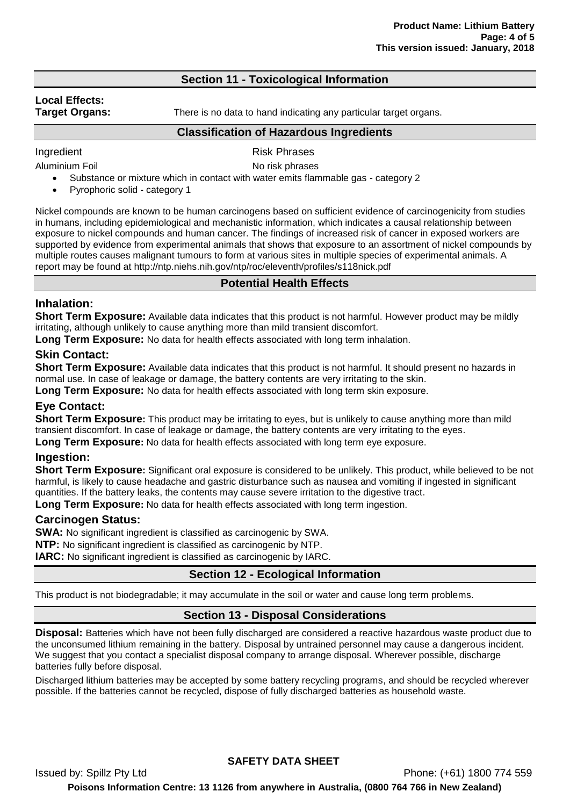## **Section 11 - Toxicological Information**

# **Local Effects:**

**Target Organs:** There is no data to hand indicating any particular target organs.

#### **Classification of Hazardous Ingredients**

Ingredient **Risk Phrases** 

Aluminium Foil **No risk phrases** 

- Substance or mixture which in contact with water emits flammable gas category 2
	- Pyrophoric solid category 1

Nickel compounds are known to be human carcinogens based on sufficient evidence of carcinogenicity from studies in humans, including epidemiological and mechanistic information, which indicates a causal relationship between exposure to nickel compounds and human cancer. The findings of increased risk of cancer in exposed workers are supported by evidence from experimental animals that shows that exposure to an assortment of nickel compounds by multiple routes causes malignant tumours to form at various sites in multiple species of experimental animals. A report may be found at http://ntp.niehs.nih.gov/ntp/roc/eleventh/profiles/s118nick.pdf

## **Potential Health Effects**

## **Inhalation:**

**Short Term Exposure:** Available data indicates that this product is not harmful. However product may be mildly irritating, although unlikely to cause anything more than mild transient discomfort.

**Long Term Exposure:** No data for health effects associated with long term inhalation.

## **Skin Contact:**

**Short Term Exposure:** Available data indicates that this product is not harmful. It should present no hazards in normal use. In case of leakage or damage, the battery contents are very irritating to the skin.

**Long Term Exposure:** No data for health effects associated with long term skin exposure.

## **Eye Contact:**

**Short Term Exposure:** This product may be irritating to eyes, but is unlikely to cause anything more than mild transient discomfort. In case of leakage or damage, the battery contents are very irritating to the eyes.

**Long Term Exposure:** No data for health effects associated with long term eye exposure.

## **Ingestion:**

**Short Term Exposure:** Significant oral exposure is considered to be unlikely. This product, while believed to be not harmful, is likely to cause headache and gastric disturbance such as nausea and vomiting if ingested in significant quantities. If the battery leaks, the contents may cause severe irritation to the digestive tract.

**Long Term Exposure:** No data for health effects associated with long term ingestion.

## **Carcinogen Status:**

**SWA:** No significant ingredient is classified as carcinogenic by SWA.

**NTP:** No significant ingredient is classified as carcinogenic by NTP.

**IARC:** No significant ingredient is classified as carcinogenic by IARC.

## **Section 12 - Ecological Information**

This product is not biodegradable; it may accumulate in the soil or water and cause long term problems.

## **Section 13 - Disposal Considerations**

**Disposal:** Batteries which have not been fully discharged are considered a reactive hazardous waste product due to the unconsumed lithium remaining in the battery. Disposal by untrained personnel may cause a dangerous incident. We suggest that you contact a specialist disposal company to arrange disposal. Wherever possible, discharge batteries fully before disposal.

Discharged lithium batteries may be accepted by some battery recycling programs, and should be recycled wherever possible. If the batteries cannot be recycled, dispose of fully discharged batteries as household waste.

**SAFETY DATA SHEET**

Issued by: Spillz Pty Ltd Phone: (+61) 1800 774 559 **Poisons Information Centre: 13 1126 from anywhere in Australia, (0800 764 766 in New Zealand)**